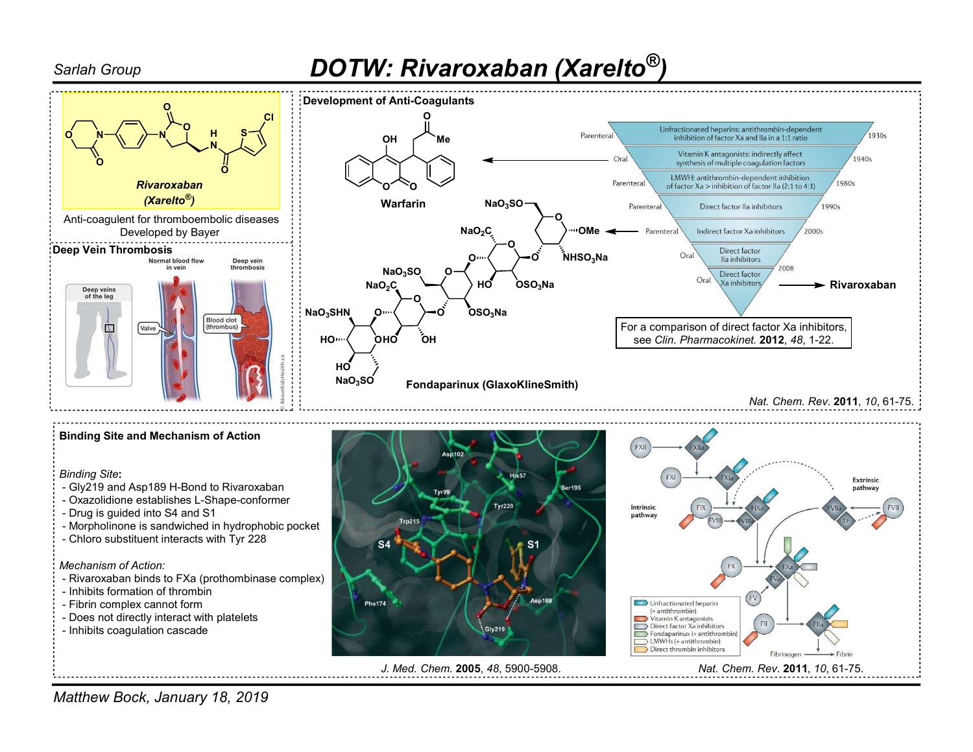## Sarlah Group **Sarlah Group 19.18.18 (Sarlah Group 19.18.18)**



Matthew Bock, January 18, 2019